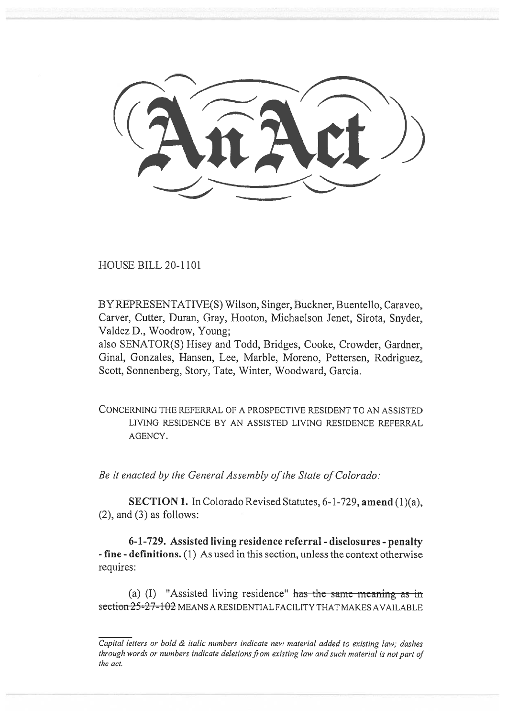HOUSE BILL 20-1101

BY REPRESENTATIVE(S) Wilson, Singer, Buckner, Buentello, Caraveo, Carver, Cutter, Duran, Gray, Hooton, Michaelson Jenet, Sirota, Snyder, Valdez D., Woodrow, Young;

also SENATOR(S) Hisey and Todd, Bridges, Cooke, Crowder, Gardner, Ginal, Gonzales, Hansen, Lee, Marble, Moreno, Pettersen, Rodriguez, Scott, Sonnenberg, Story, Tate, Winter, Woodward, Garcia.

CONCERNING THE REFERRAL OF A PROSPECTIVE RESIDENT TO AN ASSISTED LIVING RESIDENCE BY AN ASSISTED LIVING RESIDENCE REFERRAL AGENCY.

*Be it enacted by the General Assembly of the State of Colorado:* 

**SECTION 1.** In Colorado Revised Statutes, 6-1-729, **amend** (1)(a),  $(2)$ , and  $(3)$  as follows:

**6-1-729. Assisted living residence referral - disclosures - penalty - fine - definitions.** (1) As used in this section, unless the context otherwise requires:

(a) (I) "Assisted living residence" has the same meaning as in section 25-27-102 MEANS A RESIDENTIAL FACILITY THAT MAKES AVAILABLE

*Capital letters or bold & italic numbers indicate new material added to existing law; dashes through words or numbers indicate deletions from existing law and such material is not part of the act.*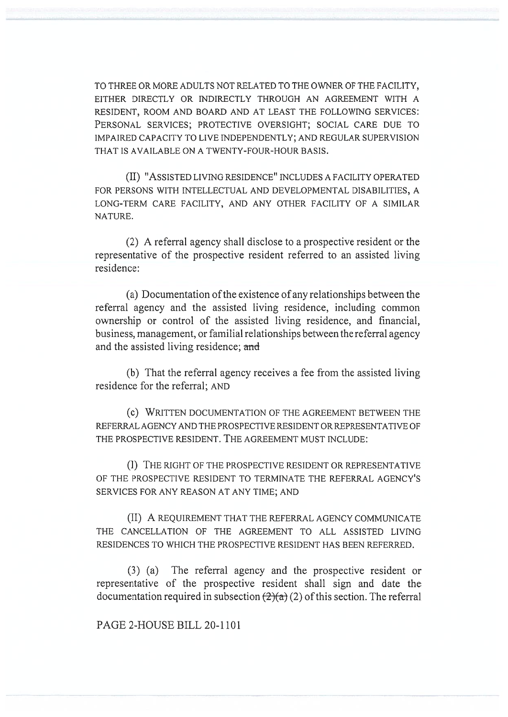TO THREE OR MORE ADULTS NOT RELATED TO THE OWNER OF THE FACILITY, EITHER DIRECTLY OR INDIRECTLY THROUGH AN AGREEMENT WITH A RESIDENT, ROOM AND BOARD AND AT LEAST THE FOLLOWING SERVICES: PERSONAL SERVICES; PROTECTIVE OVERSIGHT; SOCIAL CARE DUE TO IMPAIRED CAPACITY TO LIVE INDEPENDENTLY; AND REGULAR SUPERVISION THAT IS AVAILABLE ON A TWENTY-FOUR-HOUR BASIS.

(II) "ASSISTED LIVING RESIDENCE" INCLUDES A FACILITY OPERATED FOR PERSONS WITH INTELLECTUAL AND DEVELOPMENTAL DISABILITIES, A LONG-TERM CARE FACILITY, AND ANY OTHER FACILITY OF A SIMILAR NATURE.

(2) A referral agency shall disclose to a prospective resident or the representative of the prospective resident referred to an assisted living residence:

(a) Documentation of the existence of any relationships between the referral agency and the assisted living residence, including common ownership or control of the assisted living residence, and financial, business, management, or familial relationships between the referral agency and the assisted living residence; and

(b) That the referral agency receives a fee from the assisted living residence for the referral; AND

(c) WRITTEN DOCUMENTATION OF THE AGREEMENT BETWEEN THE REFERRAL AGENCY AND THE PROSPECTIVE RESIDENT OR REPRESENTATIVE OF THE PROSPECTIVE RESIDENT. THE AGREEMENT MUST INCLUDE:

(I) THE RIGHT OF THE PROSPECTIVE RESIDENT OR REPRESENTATIVE OF THE PROSPECTIVE RESIDENT TO TERMINATE THE REFERRAL AGENCY'S SERVICES FOR ANY REASON AT ANY TIME; AND

(II) A REQUIREMENT THAT THE REFERRAL AGENCY COMMUNICATE THE CANCELLATION OF THE AGREEMENT TO ALL ASSISTED LIVING RESIDENCES TO WHICH THE PROSPECTIVE RESIDENT HAS BEEN REFERRED.

(3) (a) The referral agency and the prospective resident or representative of the prospective resident shall sign and date the documentation required in subsection  $(2)(a)$  (2) of this section. The referral

PAGE 2-HOUSE BILL 20-1101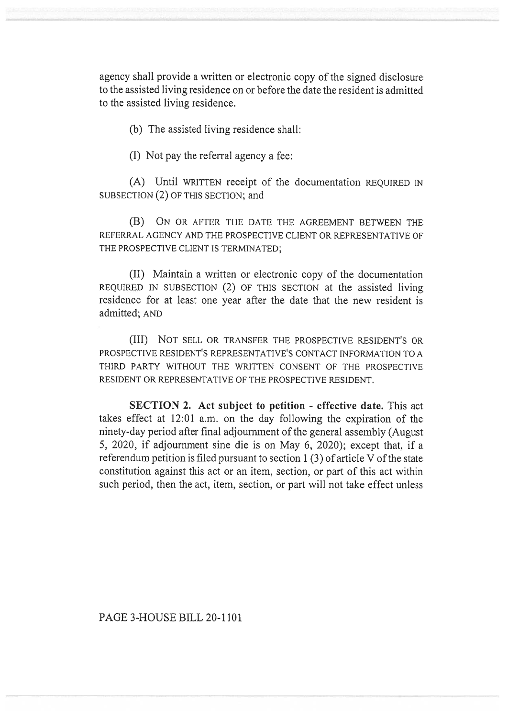agency shall provide a written or electronic copy of the signed disclosure to the assisted living residence on or before the date the resident is admitted to the assisted living residence.

(b) The assisted living residence shall:

(I) Not pay the referral agency a fee:

(A) Until WRITTEN receipt of the documentation REQUIRED IN SUBSECTION (2) OF THIS SECTION; and

(B) ON OR AFTER THE DATE THE AGREEMENT BETWEEN THE REFERRAL AGENCY AND THE PROSPECTIVE CLIENT OR REPRESENTATIVE OF THE PROSPECTIVE CLIENT IS TERMINATED;

(II) Maintain a written or electronic copy of the documentation REQUIRED IN SUBSECTION (2) OF THIS SECTION at the assisted living residence for at least one year after the date that the new resident is admitted; AND

(III) NOT SELL OR TRANSFER THE PROSPECTIVE RESIDENT'S OR PROSPECTIVE RESIDENT'S REPRESENTATIVE'S CONTACT INFORMATION TO A THIRD PARTY WITHOUT THE WRITTEN CONSENT OF THE PROSPECTIVE RESIDENT OR REPRESENTATIVE OF THE PROSPECTIVE RESIDENT.

**SECTION 2. Act subject to petition - effective date.** This act takes effect at 12:01 a.m. on the day following the expiration of the ninety-day period after final adjournment of the general assembly (August 5, 2020, if adjournment sine die is on May 6, 2020); except that, if a referendum petition is filed pursuant to section 1 (3) of article V of the state constitution against this act or an item, section, or part of this act within such period, then the act, item, section, or part will not take effect unless

PAGE 3-HOUSE BILL 20-1101